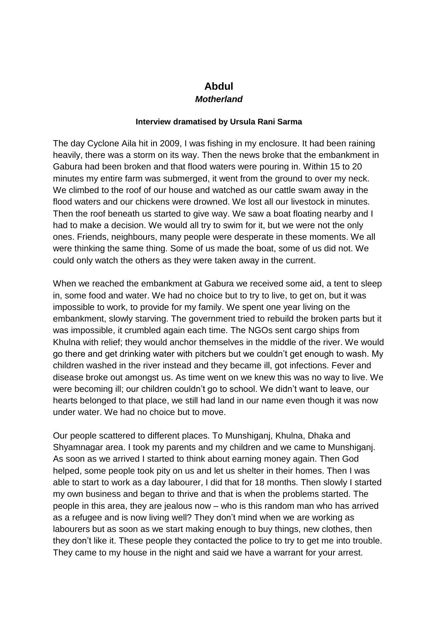## **Abdul** *Motherland*

## **Interview dramatised by Ursula Rani Sarma**

The day Cyclone Aila hit in 2009, I was fishing in my enclosure. It had been raining heavily, there was a storm on its way. Then the news broke that the embankment in Gabura had been broken and that flood waters were pouring in. Within 15 to 20 minutes my entire farm was submerged, it went from the ground to over my neck. We climbed to the roof of our house and watched as our cattle swam away in the flood waters and our chickens were drowned. We lost all our livestock in minutes. Then the roof beneath us started to give way. We saw a boat floating nearby and I had to make a decision. We would all try to swim for it, but we were not the only ones. Friends, neighbours, many people were desperate in these moments. We all were thinking the same thing. Some of us made the boat, some of us did not. We could only watch the others as they were taken away in the current.

When we reached the embankment at Gabura we received some aid, a tent to sleep in, some food and water. We had no choice but to try to live, to get on, but it was impossible to work, to provide for my family. We spent one year living on the embankment, slowly starving. The government tried to rebuild the broken parts but it was impossible, it crumbled again each time. The NGOs sent cargo ships from Khulna with relief; they would anchor themselves in the middle of the river. We would go there and get drinking water with pitchers but we couldn't get enough to wash. My children washed in the river instead and they became ill, got infections. Fever and disease broke out amongst us. As time went on we knew this was no way to live. We were becoming ill; our children couldn't go to school. We didn't want to leave, our hearts belonged to that place, we still had land in our name even though it was now under water. We had no choice but to move.

Our people scattered to different places. To Munshiganj, Khulna, Dhaka and Shyamnagar area. I took my parents and my children and we came to Munshiganj. As soon as we arrived I started to think about earning money again. Then God helped, some people took pity on us and let us shelter in their homes. Then I was able to start to work as a day labourer, I did that for 18 months. Then slowly I started my own business and began to thrive and that is when the problems started. The people in this area, they are jealous now – who is this random man who has arrived as a refugee and is now living well? They don't mind when we are working as labourers but as soon as we start making enough to buy things, new clothes, then they don't like it. These people they contacted the police to try to get me into trouble. They came to my house in the night and said we have a warrant for your arrest.